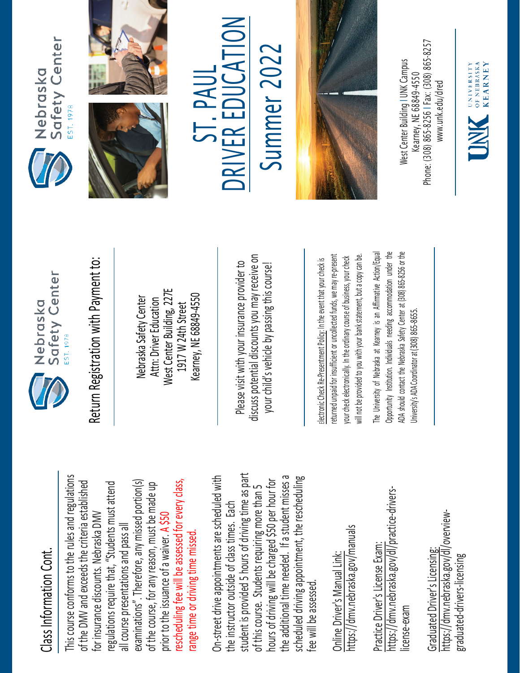## Class Information Cont. Class Information Cont.

This course conforms to the rules and regulations This course conforms to the rules and regulations rescheduling fee will be assessed for every class, examinations". Therefore, any missed portion(s) of the DMV and exceeds the criteria established regulations require that, "Students must attend rescheduling fee will be assessed for every class, of the DMV and exceeds the criteria established examinations". Therefore, any missed portion(s) of the course, for any reason, must be made up regulations require that, "Students must attend of the course, for any reason, must be made up for insurance discounts. Nebraska DMV for insurance discounts. Nebraska DMV prior to the issuance of a waiver. A \$50 all course presentations and pass all all course presentations and pass all range time or driving time missed. range time or driving time missed. prior to the issuance of a waiver.

student is provided 5 hours of driving time as part On-street drive appointments are scheduled with student is provided 5 hours of driving time as part the additional time needed. If a student misses a scheduled driving appointment, the rescheduling the additional time needed. If a student misses a On-street drive appointments are scheduled with hours of driving will be charged \$50 per hour for hours of driving will be charged \$50 per hour for scheduled driving appointment, the rescheduling of this course. Students requiring more than 5 of this course. Students requiring more than 5 the instructor outside of class times. Each the instructor outside of class times. Each fee will be assessed. fee will be assessed

https://dmv.nebraska.gov/manuals https://dmv.nebraska.gov/manuals Online Driver's Manual Link: Online Driver's Manual Link:

https://dmv.nebraska.gov/dl/practice-drivershttps://dmv.nebraska.gov/dl/practice-drivers-Practice Driver's License Exam: Practice Driver's License Exam: license-exam icense-exam

https://dmv.nebraska.gov/dl/overviewhttps://dmv.nebraska.gov/dl/overview-Graduated Driver's Licensing: Graduated Driver's Licensing: graduated-drivers-licensing graduated-drivers-licensing



Nebraska Safety Center Attn: Driver Education West Center Building, 227E 1917 W 24th Street Kearney, NE 68849-4550

Please visit with your insurance provider to discuss potential discounts you may receive on your child's vehicle by passing this course! Return Registration with Payment to:<br>
Nebraska Safety Center<br>
Attn: Driver Education<br>
1917 W 24th Street<br>
Rearney, NE 68849-4550<br>
Rease visit with your insurance provider to<br>
Please visit with your insurance provider to<br>
y

returned unpaid for insufficient or uncollected funds, we may re-present a copy can be. returned unpaid for insufficient or uncollected funds, we may re-present will not be provided to you with your bank statement, but a copy can be. your check electronically. In the ordinary course of business, your check your check electronically. In the ordinary course of business, your check will not be provided to you with your bank statement, but

The University of Nebraska at Kearney is an Affirmative Action/Equal The University of Nebraska at Kearney is an Affirmative Action/Equal Opportunity Institution. Individuals needing accommodation under the ADA should contact the Nebraska Safety Center at (308) 865-8256 or the Opportunity Institution. Individuals needing accommodation under the ADA should contact the Nebraska Safety Center at (308) 865-8256 or the Jniversity's ADA Coordinator at (308) 865-8655. University's ADA Coordinator at (308) 86







ST. PAUL D RIV E R EDUCA  $\sum_{i=1}^{n}$ 

Summer 202 Summer 2022



Phone: (308) 865-8256 | Fax: (308) 865-8257 West Center Building I UNK Campus Nest Center Building I UNK Campus -8256 I Fax: (308) 865 Kearney, NE 68849-4550 www.unk.edu/dred [www.unk.edu/dred](http://www.unk.edu/dred) Kearney, NE 68849 Phone: (308) 865

UNIVERSITY<br>
OF NEBRASKA<br>
KFARNEY

**KEARNEY**